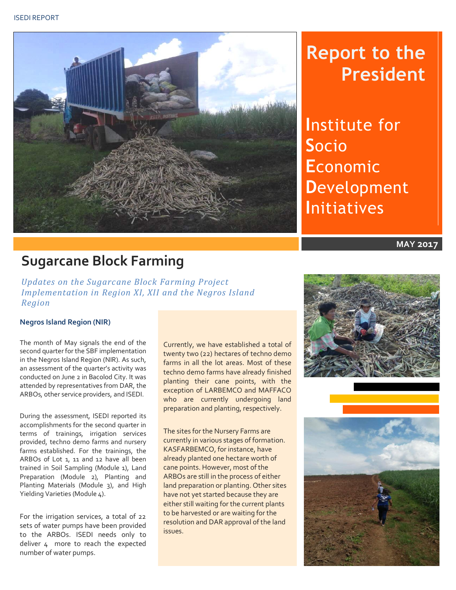

# **Report to the President**

**I**nstitute for **S**ocio **E**conomic **D**evelopment **I**nitiatives

**MAY 2017**

## **Sugarcane Block Farming**

*Updates on the Sugarcane Block Farming Project Implementation in Region XI, XII and the Negros Island Region*

#### **Negros Island Region (NIR)**

The month of May signals the end of the second quarter for the SBF implementation in the Negros Island Region (NIR). As such, an assessment of the quarter's activity was conducted on June 2 in Bacolod City. It was attended by representatives from DAR, the ARBOs, other service providers, and ISEDI.

During the assessment, ISEDI reported its accomplishments for the second quarter in terms of trainings, irrigation services provided, techno demo farms and nursery farms established. For the trainings, the ARBOs of Lot 1, 11 and 12 have all been trained in Soil Sampling (Module 1), Land Preparation (Module 2), Planting and Planting Materials (Module 3), and High Yielding Varieties (Module 4).

For the irrigation services, a total of 22 sets of water pumps have been provided to the ARBOs. ISEDI needs only to deliver 4 more to reach the expected number of water pumps.

Currently, we have established a total of twenty two (22) hectares of techno demo farms in all the lot areas. Most of these techno demo farms have already finished planting their cane points, with the exception of LARBEMCO and MAFFACO who are currently undergoing land preparation and planting, respectively.

The sites for the Nursery Farms are currently in various stages of formation. KASFARBEMCO, for instance, have already planted one hectare worth of cane points. However, most of the ARBOs are still in the process of either land preparation or planting. Other sites have not yet started because they are either still waiting for the current plants to be harvested or are waiting for the resolution and DAR approval of the land issues.